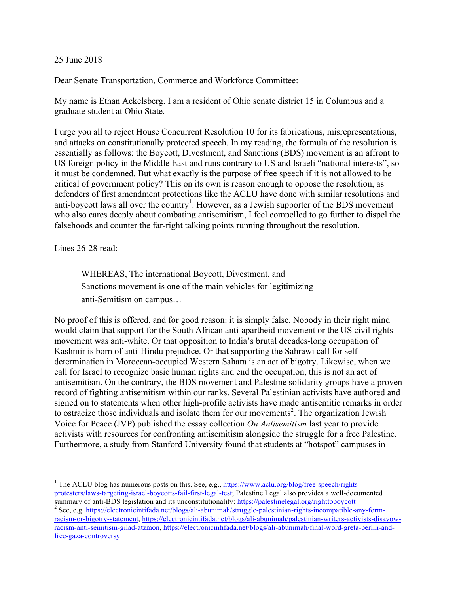## 25 June 2018

Dear Senate Transportation, Commerce and Workforce Committee:

My name is Ethan Ackelsberg. I am a resident of Ohio senate district 15 in Columbus and a graduate student at Ohio State.

I urge you all to reject House Concurrent Resolution 10 for its fabrications, misrepresentations, and attacks on constitutionally protected speech. In my reading, the formula of the resolution is essentially as follows: the Boycott, Divestment, and Sanctions (BDS) movement is an affront to US foreign policy in the Middle East and runs contrary to US and Israeli "national interests", so it must be condemned. But what exactly is the purpose of free speech if it is not allowed to be critical of government policy? This on its own is reason enough to oppose the resolution, as defenders of first amendment protections like the ACLU have done with similar resolutions and anti-boycott laws all over the country<sup>1</sup>. However, as a Jewish supporter of the BDS movement who also cares deeply about combating antisemitism, I feel compelled to go further to dispel the falsehoods and counter the far-right talking points running throughout the resolution.

Lines 26-28 read:

WHEREAS, The international Boycott, Divestment, and Sanctions movement is one of the main vehicles for legitimizing anti-Semitism on campus…

No proof of this is offered, and for good reason: it is simply false. Nobody in their right mind would claim that support for the South African anti-apartheid movement or the US civil rights movement was anti-white. Or that opposition to India's brutal decades-long occupation of Kashmir is born of anti-Hindu prejudice. Or that supporting the Sahrawi call for selfdetermination in Moroccan-occupied Western Sahara is an act of bigotry. Likewise, when we call for Israel to recognize basic human rights and end the occupation, this is not an act of antisemitism. On the contrary, the BDS movement and Palestine solidarity groups have a proven record of fighting antisemitism within our ranks. Several Palestinian activists have authored and signed on to statements when other high-profile activists have made antisemitic remarks in order to ostracize those individuals and isolate them for our movements<sup>2</sup>. The organization Jewish Voice for Peace (JVP) published the essay collection *On Antisemitism* last year to provide activists with resources for confronting antisemitism alongside the struggle for a free Palestine. Furthermore, a study from Stanford University found that students at "hotspot" campuses in

<sup>&</sup>lt;sup>1</sup> The ACLU blog has numerous posts on this. See, e.g., https://www.aclu.org/blog/free-speech/rightsprotesters/laws-targeting-israel-boycotts-fail-first-legal-test; Palestine Legal also provides a well-documented

summary of anti-BDS legislation and its unconstitutionality: https://palestinelegal.org/righttoboycott<sup>2</sup> See, e.g. https://electronicintifada.net/blogs/ali-abunimah/struggle-palestinian-rights-incompatible-any-formracism-or-bigotry-statement, https://electronicintifada.net/blogs/ali-abunimah/palestinian-writers-activists-disavowracism-anti-semitism-gilad-atzmon, https://electronicintifada.net/blogs/ali-abunimah/final-word-greta-berlin-andfree-gaza-controversy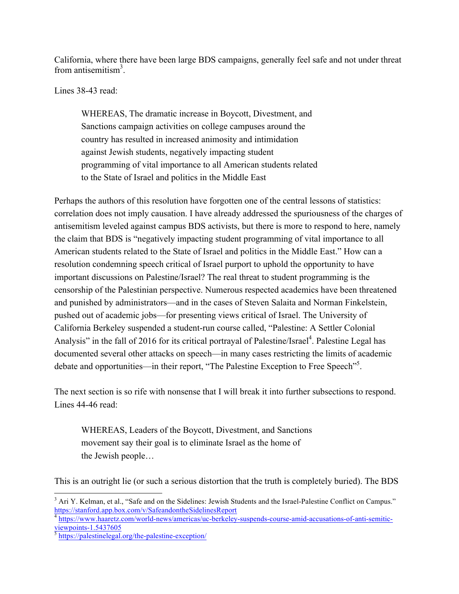California, where there have been large BDS campaigns, generally feel safe and not under threat from antisemitism<sup>3</sup>.

Lines 38-43 read:

WHEREAS, The dramatic increase in Boycott, Divestment, and Sanctions campaign activities on college campuses around the country has resulted in increased animosity and intimidation against Jewish students, negatively impacting student programming of vital importance to all American students related to the State of Israel and politics in the Middle East

Perhaps the authors of this resolution have forgotten one of the central lessons of statistics: correlation does not imply causation. I have already addressed the spuriousness of the charges of antisemitism leveled against campus BDS activists, but there is more to respond to here, namely the claim that BDS is "negatively impacting student programming of vital importance to all American students related to the State of Israel and politics in the Middle East." How can a resolution condemning speech critical of Israel purport to uphold the opportunity to have important discussions on Palestine/Israel? The real threat to student programming is the censorship of the Palestinian perspective. Numerous respected academics have been threatened and punished by administrators—and in the cases of Steven Salaita and Norman Finkelstein, pushed out of academic jobs—for presenting views critical of Israel. The University of California Berkeley suspended a student-run course called, "Palestine: A Settler Colonial Analysis" in the fall of 2016 for its critical portrayal of Palestine/Israel<sup>4</sup>. Palestine Legal has documented several other attacks on speech—in many cases restricting the limits of academic debate and opportunities—in their report, "The Palestine Exception to Free Speech"<sup>5</sup>.

The next section is so rife with nonsense that I will break it into further subsections to respond. Lines 44-46 read:

WHEREAS, Leaders of the Boycott, Divestment, and Sanctions movement say their goal is to eliminate Israel as the home of the Jewish people…

This is an outright lie (or such a serious distortion that the truth is completely buried). The BDS

<sup>4</sup> https://www.haaretz.com/world-news/americas/uc-berkeley-suspends-course-amid-accusations-of-anti-semitic-<br>viewpoints-1.5437605

<sup>&</sup>lt;sup>3</sup> Ari Y. Kelman, et al., "Safe and on the Sidelines: Jewish Students and the Israel-Palestine Conflict on Campus." https://stanford.app.box.com/v/SafeandontheSidelinesReport

 $\frac{1}{5}$  https://palestinelegal.org/the-palestine-exception/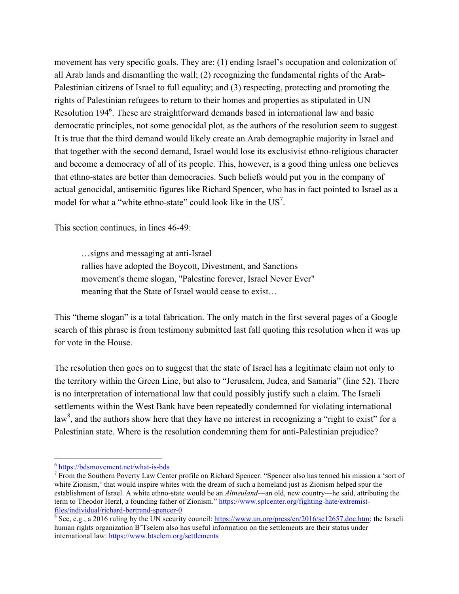movement has very specific goals. They are: (1) ending Israel's occupation and colonization of all Arab lands and dismantling the wall; (2) recognizing the fundamental rights of the Arab-Palestinian citizens of Israel to full equality; and (3) respecting, protecting and promoting the rights of Palestinian refugees to return to their homes and properties as stipulated in UN Resolution 194<sup>6</sup>. These are straightforward demands based in international law and basic democratic principles, not some genocidal plot, as the authors of the resolution seem to suggest. It is true that the third demand would likely create an Arab demographic majority in Israel and that together with the second demand, Israel would lose its exclusivist ethno-religious character and become a democracy of all of its people. This, however, is a good thing unless one believes that ethno-states are better than democracies. Such beliefs would put you in the company of actual genocidal, antisemitic figures like Richard Spencer, who has in fact pointed to Israel as a model for what a "white ethno-state" could look like in the  $US<sup>7</sup>$ .

This section continues, in lines 46-49:

…signs and messaging at anti-Israel rallies have adopted the Boycott, Divestment, and Sanctions movement's theme slogan, "Palestine forever, Israel Never Ever" meaning that the State of Israel would cease to exist…

This "theme slogan" is a total fabrication. The only match in the first several pages of a Google search of this phrase is from testimony submitted last fall quoting this resolution when it was up for vote in the House.

The resolution then goes on to suggest that the state of Israel has a legitimate claim not only to the territory within the Green Line, but also to "Jerusalem, Judea, and Samaria" (line 52). There is no interpretation of international law that could possibly justify such a claim. The Israeli settlements within the West Bank have been repeatedly condemned for violating international law<sup>8</sup>, and the authors show here that they have no interest in recognizing a "right to exist" for a Palestinian state. Where is the resolution condemning them for anti-Palestinian prejudice?

 $\frac{6}{7}$  https://bdsmovement.net/what-is-bds<br> $\frac{7}{7}$  From the Southern Poverty Law Center profile on Richard Spencer: "Spencer also has termed his mission a 'sort of white Zionism,' that would inspire whites with the dream of such a homeland just as Zionism helped spur the establishment of Israel. A white ethno-state would be an *Altneuland*—an old, new country—he said, attributing the term to Theodor Herzl, a founding father of Zionism." https://www.splcenter.org/fighting-hate/extremistfiles/individual/richard-bertrand-spencer-0<br><sup>8</sup> See, e.g., a 2016 ruling by the UN security council: https://www.un.org/press/en/2016/sc12657.doc.htm; the Israeli

human rights organization B'Tselem also has useful information on the settlements are their status under international law: https://www.btselem.org/settlements